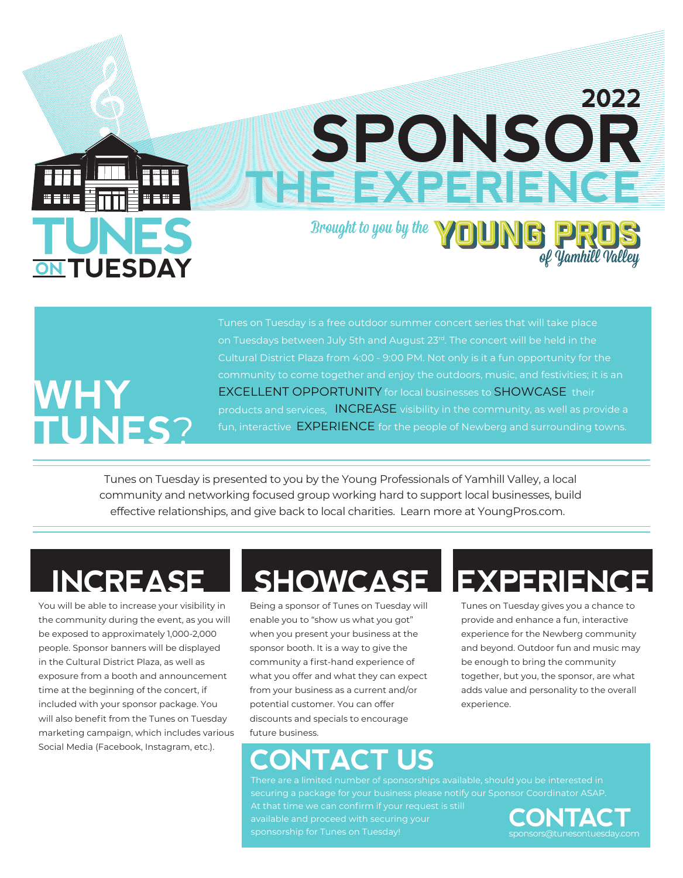# **TUESDAY**

#### Brought to you by the **YOUNG PRO** of **Yamhill Valley**

**THE EXPERIMENT OF STRUCK** 

**SPONSOR**

**2022**

# **WHY TUNES**?

Tunes on Tuesday is a free outdoor summer concert series that will take place on Tuesdays between July 5th and August 23<sup>rd</sup>. The concert will be held in the Cultural District Plaza from 4:00 - 9:00 PM. Not only is it a fun opportunity for the community to come together and enjoy the outdoors, music, and festivities; it is an EXCELLENT OPPORTUNITY for local businesses to SHOWCASE their products and services, INCREASE visibility in the community, as well as provide a fun, interactive EXPERIENCE for the people of Newberg and surrounding towns.

Tunes on Tuesday is presented to you by the Young Professionals of Yamhill Valley, a local community and networking focused group working hard to support local businesses, build effective relationships, and give back to local charities. Learn more at YoungPros.com.

You will be able to increase your visibility in the community during the event, as you will be exposed to approximately 1,000-2,000 people. Sponsor banners will be displayed in the Cultural District Plaza, as well as exposure from a booth and announcement time at the beginning of the concert, if included with your sponsor package. You will also benefit from the Tunes on Tuesday marketing campaign, which includes various Social Media (Facebook, Instagram, etc.).

# **INCREASE ISHOWCASE IEXPERIEN**

Being a sponsor of Tunes on Tuesday will enable you to "show us what you got" when you present your business at the sponsor booth. It is a way to give the community a first-hand experience of what you offer and what they can expect from your business as a current and/or potential customer. You can offer discounts and specials to encourage future business.

### **CONTACT US**

There are a limited number of sponsorships available, should you be interested in securing a package for your business please notify our Sponsor Coordinator ASAP. At that time we can confirm if your request is still available and proceed with securing your sponsorship for Tunes on Tuesday!

experience.



Tunes on Tuesday gives you a chance to provide and enhance a fun, interactive experience for the Newberg community and beyond. Outdoor fun and music may be enough to bring the community together, but you, the sponsor, are what adds value and personality to the overall